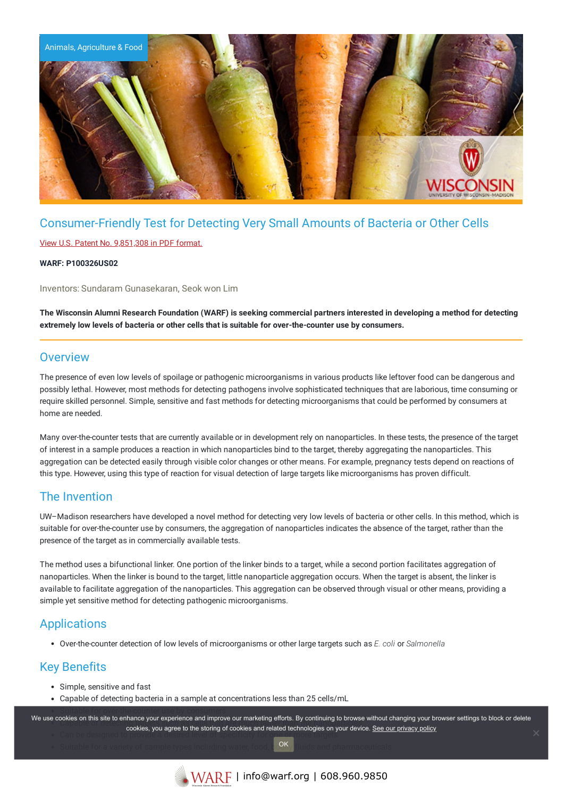

## Consumer-Friendly Test for Detecting Very Small Amounts of Bacteria or Other Cells

#### View U.S. Patent No. [9,851,308](https://www.warf.org/wp-content/uploads/technologies/ipstatus/P100326US02.pdf) in PDF format.

#### **WARF: P100326US02**

Inventors: Sundaram Gunasekaran, Seok won Lim

The Wisconsin Alumni Research Foundation (WARF) is seeking commercial partners interested in developing a method for detecting **extremely low levels of bacteria or other cells that is suitable for over-the-counter use by consumers.**

### **Overview**

The presence of even low levels of spoilage or pathogenic microorganisms in various products like leftover food can be dangerous and possibly lethal. However, most methods for detecting pathogens involve sophisticated techniques that are laborious, time consuming or require skilled personnel. Simple, sensitive and fast methods for detecting microorganisms that could be performed by consumers at home are needed.

Many over-the-counter tests that are currently available or in development rely on nanoparticles. In these tests, the presence of the target of interest in a sample produces a reaction in which nanoparticles bind to the target, thereby aggregating the nanoparticles. This aggregation can be detected easily through visible color changes or other means. For example, pregnancy tests depend on reactions of this type. However, using this type of reaction for visual detection of large targets like microorganisms has proven difficult.

### The Invention

UW–Madison researchers have developed a novel method for detecting very low levels of bacteria or other cells. In this method, which is suitable for over-the-counter use by consumers, the aggregation of nanoparticles indicates the absence of the target, rather than the presence of the target as in commercially available tests.

The method uses a bifunctional linker. One portion of the linker binds to a target, while a second portion facilitates aggregation of nanoparticles. When the linker is bound to the target, little nanoparticle aggregation occurs. When the target is absent, the linker is available to facilitate aggregation of the nanoparticles. This aggregation can be observed through visual or other means, providing a simple yet sensitive method for detecting pathogenic microorganisms.

### Applications

Over-the-counter detection of low levels of microorganisms or other large targets such as *E. coli* or *Salmonella*

### Key Benefits

- Simple, sensitive and fast
- Capable of detecting bacteria in a sample at concentrations less than 25 cells/mL

We use cookies on this site to enhance your experience and improve our marketing efforts. By continuing to browse without changing your browser settings to block or delete Johns of this site to smitting your experience and improve our marketing enorted by continuing to browse cookies, you agree to the storing of cookies and related technologies on your device. [See our privacy policy](https://www.warf.org/privacy-policy/) controls and related technologies on your device. See our privacy policy